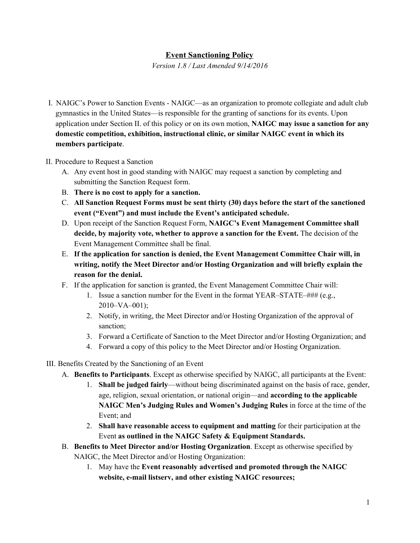## **Event Sanctioning Policy**

*Version 1.8 / Last Amended 9/14/2016*

- I. NAIGC's Power to Sanction Events NAIGC—as an organization to promote collegiate and adult club gymnastics in the United States—is responsible for the granting of sanctions for its events. Upon application under Section II. of this policy or on its own motion, **NAIGC may issue a sanction for any domestic competition, exhibition, instructional clinic, or similar NAIGC event in which its members participate**.
- II. Procedure to Request a Sanction
	- A. Any event host in good standing with NAIGC may request a sanction by completing and submitting the Sanction Request form.
	- B. **There is no cost to apply for a sanction.**
	- C. **All Sanction Request Forms must be sent thirty (30) days before the start of the sanctioned event ("Event") and must include the Event's anticipated schedule.**
	- D. Upon receipt of the Sanction Request Form, **NAIGC's Event Management Committee shall decide, by majority vote, whether to approve a sanction for the Event.** The decision of the Event Management Committee shall be final.
	- E. **If the application for sanction is denied, the Event Management Committee Chair will, in writing, notify the Meet Director and/or Hosting Organization and will briefly explain the reason for the denial.**
	- F. If the application for sanction is granted, the Event Management Committee Chair will:
		- 1. Issue a sanction number for the Event in the format YEAR–STATE–### (e.g.,  $2010-VA-001$ ;
		- 2. Notify, in writing, the Meet Director and/or Hosting Organization of the approval of sanction;
		- 3. Forward a Certificate of Sanction to the Meet Director and/or Hosting Organization; and
		- 4. Forward a copy of this policy to the Meet Director and/or Hosting Organization.
- III. Benefits Created by the Sanctioning of an Event
	- A. **Benefits to Participants**. Except as otherwise specified by NAIGC, all participants at the Event:
		- 1. **Shall be judged fairly**—without being discriminated against on the basis of race, gender, age, religion, sexual orientation, or national origin—and **according to the applicable NAIGC Men's Judging Rules and Women's Judging Rules** in force at the time of the Event; and
		- 2. **Shall have reasonable access to equipment and matting** for their participation at the Event **as outlined in the NAIGC Safety & Equipment Standards.**
	- B. **Benefits to Meet Director and/or Hosting Organization**. Except as otherwise specified by NAIGC, the Meet Director and/or Hosting Organization:
		- 1. May have the **Event reasonably advertised and promoted through the NAIGC website, e-mail listserv, and other existing NAIGC resources;**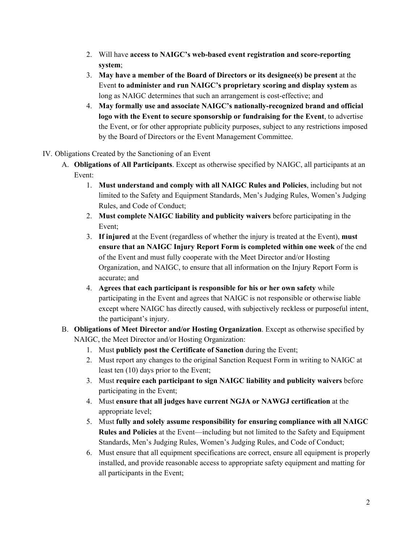- 2. Will have **access to NAIGC's web-based event registration and score-reporting system**;
- 3. **May have a member of the Board of Directors or its designee(s) be present** at the Event **to administer and run NAIGC's proprietary scoring and display system** as long as NAIGC determines that such an arrangement is cost-effective; and
- 4. **May formally use and associate NAIGC's nationally-recognized brand and official logo with the Event to secure sponsorship or fundraising for the Event**, to advertise the Event, or for other appropriate publicity purposes, subject to any restrictions imposed by the Board of Directors or the Event Management Committee.
- IV. Obligations Created by the Sanctioning of an Event
	- A. **Obligations of All Participants**. Except as otherwise specified by NAIGC, all participants at an Event:
		- 1. **Must understand and comply with all NAIGC Rules and Policies**, including but not limited to the Safety and Equipment Standards, Men's Judging Rules, Women's Judging Rules, and Code of Conduct;
		- 2. **Must complete NAIGC liability and publicity waivers** before participating in the Event;
		- 3. **If injured** at the Event (regardless of whether the injury is treated at the Event), **must ensure that an NAIGC Injury Report Form is completed within one week** of the end of the Event and must fully cooperate with the Meet Director and/or Hosting Organization, and NAIGC, to ensure that all information on the Injury Report Form is accurate; and
		- 4. **Agrees that each participant is responsible for his or her own safety** while participating in the Event and agrees that NAIGC is not responsible or otherwise liable except where NAIGC has directly caused, with subjectively reckless or purposeful intent, the participant's injury.
	- B. **Obligations of Meet Director and/or Hosting Organization**. Except as otherwise specified by NAIGC, the Meet Director and/or Hosting Organization:
		- 1. Must **publicly post the Certificate of Sanction** during the Event;
		- 2. Must report any changes to the original Sanction Request Form in writing to NAIGC at least ten (10) days prior to the Event;
		- 3. Must **require each participant to sign NAIGC liability and publicity waivers** before participating in the Event;
		- 4. Must **ensure that all judges have current NGJA or NAWGJ certification** at the appropriate level;
		- 5. Must **fully and solely assume responsibility for ensuring compliance with all NAIGC Rules and Policies** at the Event—including but not limited to the Safety and Equipment Standards, Men's Judging Rules, Women's Judging Rules, and Code of Conduct;
		- 6. Must ensure that all equipment specifications are correct, ensure all equipment is properly installed, and provide reasonable access to appropriate safety equipment and matting for all participants in the Event;